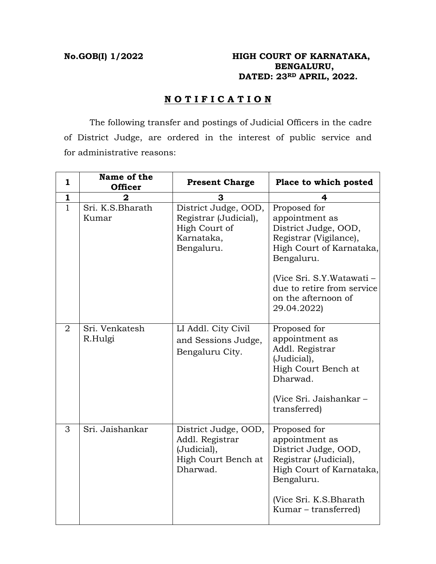# **No.GOB(I) 1/2022 HIGH COURT OF KARNATAKA, BENGALURU, DATED: 23RD APRIL, 2022.**

# **N O T I F I C A T I O N**

 The following transfer and postings of Judicial Officers in the cadre of District Judge, are ordered in the interest of public service and for administrative reasons:

| $\mathbf{1}$   | Name of the<br><b>Officer</b> | <b>Present Charge</b>                                                                      | Place to which posted                                                                                                                                                                                                       |
|----------------|-------------------------------|--------------------------------------------------------------------------------------------|-----------------------------------------------------------------------------------------------------------------------------------------------------------------------------------------------------------------------------|
| $\mathbf{1}$   | 2                             | з                                                                                          | 4                                                                                                                                                                                                                           |
| 1.             | Sri. K.S.Bharath<br>Kumar     | District Judge, OOD,<br>Registrar (Judicial),<br>High Court of<br>Karnataka,<br>Bengaluru. | Proposed for<br>appointment as<br>District Judge, OOD,<br>Registrar (Vigilance),<br>High Court of Karnataka,<br>Bengaluru.<br>(Vice Sri. S.Y.Watawati –<br>due to retire from service<br>on the afternoon of<br>29.04.2022) |
| $\overline{2}$ | Sri. Venkatesh<br>R.Hulgi     | LI Addl. City Civil<br>and Sessions Judge,<br>Bengaluru City.                              | Proposed for<br>appointment as<br>Addl. Registrar<br>(Judicial),<br>High Court Bench at<br>Dharwad.<br>(Vice Sri. Jaishankar –<br>transferred)                                                                              |
| 3              | Sri. Jaishankar               | District Judge, OOD,<br>Addl. Registrar<br>(Judicial),<br>High Court Bench at<br>Dharwad.  | Proposed for<br>appointment as<br>District Judge, OOD,<br>Registrar (Judicial),<br>High Court of Karnataka,<br>Bengaluru.<br>(Vice Sri. K.S. Bharath)<br>Kumar – transferred)                                               |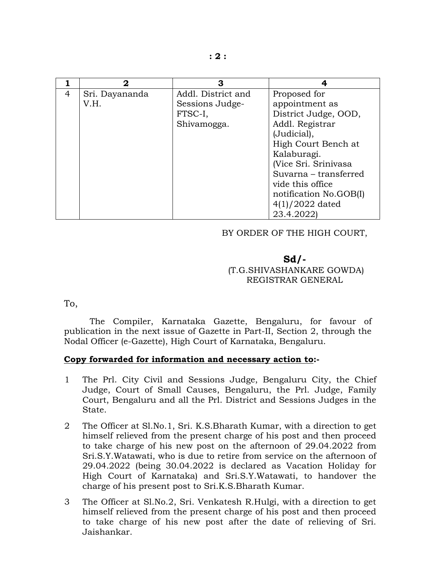|   | 2              | З                  |                        |
|---|----------------|--------------------|------------------------|
| 4 | Sri. Dayananda | Addl. District and | Proposed for           |
|   | V.H.           | Sessions Judge-    | appointment as         |
|   |                | FTSC-I,            | District Judge, OOD,   |
|   |                | Shivamogga.        | Addl. Registrar        |
|   |                |                    | (Judicial),            |
|   |                |                    | High Court Bench at    |
|   |                |                    | Kalaburagi.            |
|   |                |                    | (Vice Sri. Srinivasa   |
|   |                |                    | Suvarna – transferred  |
|   |                |                    | vide this office       |
|   |                |                    | notification No.GOB(I) |
|   |                |                    | $4(1)/2022$ dated      |
|   |                |                    | 23.4.2022)             |

### BY ORDER OF THE HIGH COURT,

# **Sd/-**  (T.G.SHIVASHANKARE GOWDA) REGISTRAR GENERAL

To,

 The Compiler, Karnataka Gazette, Bengaluru, for favour of publication in the next issue of Gazette in Part-II, Section 2, through the Nodal Officer (e-Gazette), High Court of Karnataka, Bengaluru.

#### **Copy forwarded for information and necessary action to:-**

- 1 The Prl. City Civil and Sessions Judge, Bengaluru City, the Chief Judge, Court of Small Causes, Bengaluru, the Prl. Judge, Family Court, Bengaluru and all the Prl. District and Sessions Judges in the State.
- 2 The Officer at Sl.No.1, Sri. K.S.Bharath Kumar, with a direction to get himself relieved from the present charge of his post and then proceed to take charge of his new post on the afternoon of 29.04.2022 from Sri.S.Y.Watawati, who is due to retire from service on the afternoon of 29.04.2022 (being 30.04.2022 is declared as Vacation Holiday for High Court of Karnataka) and Sri.S.Y.Watawati, to handover the charge of his present post to Sri.K.S.Bharath Kumar.
- 3 The Officer at Sl.No.2, Sri. Venkatesh R.Hulgi, with a direction to get himself relieved from the present charge of his post and then proceed to take charge of his new post after the date of relieving of Sri. Jaishankar.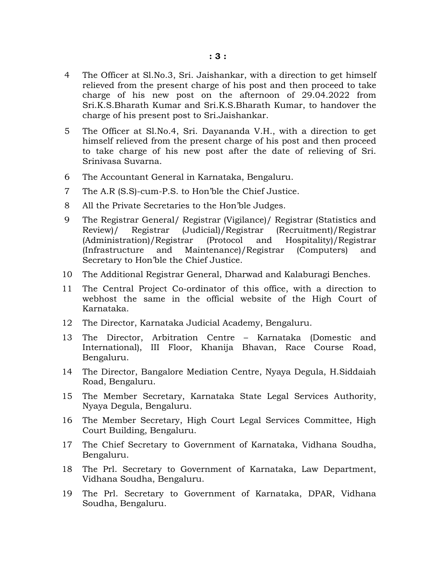- 4 The Officer at Sl.No.3, Sri. Jaishankar, with a direction to get himself relieved from the present charge of his post and then proceed to take charge of his new post on the afternoon of 29.04.2022 from Sri.K.S.Bharath Kumar and Sri.K.S.Bharath Kumar, to handover the charge of his present post to Sri.Jaishankar.
- 5 The Officer at Sl.No.4, Sri. Dayananda V.H., with a direction to get himself relieved from the present charge of his post and then proceed to take charge of his new post after the date of relieving of Sri. Srinivasa Suvarna.
- 6 The Accountant General in Karnataka, Bengaluru.
- 7 The A.R (S.S)-cum-P.S. to Hon'ble the Chief Justice.
- 8 All the Private Secretaries to the Hon'ble Judges.
- 9 The Registrar General/ Registrar (Vigilance)/ Registrar (Statistics and Review)/ Registrar (Judicial)/Registrar (Recruitment)/Registrar Registrar (Judicial)/ Registrar (Recruitment)/ Registrar (Administration)/Registrar (Protocol and Hospitality)/Registrar (Infrastructure and Maintenance)/Registrar (Computers) and Secretary to Hon'ble the Chief Justice.
- 10 The Additional Registrar General, Dharwad and Kalaburagi Benches.
- 11 The Central Project Co-ordinator of this office, with a direction to webhost the same in the official website of the High Court of Karnataka.
- 12 The Director, Karnataka Judicial Academy, Bengaluru.
- 13 The Director, Arbitration Centre Karnataka (Domestic and International), III Floor, Khanija Bhavan, Race Course Road, Bengaluru.
- 14 The Director, Bangalore Mediation Centre, Nyaya Degula, H.Siddaiah Road, Bengaluru.
- 15 The Member Secretary, Karnataka State Legal Services Authority, Nyaya Degula, Bengaluru.
- 16 The Member Secretary, High Court Legal Services Committee, High Court Building, Bengaluru.
- 17 The Chief Secretary to Government of Karnataka, Vidhana Soudha, Bengaluru.
- 18 The Prl. Secretary to Government of Karnataka, Law Department, Vidhana Soudha, Bengaluru.
- 19 The Prl. Secretary to Government of Karnataka, DPAR, Vidhana Soudha, Bengaluru.